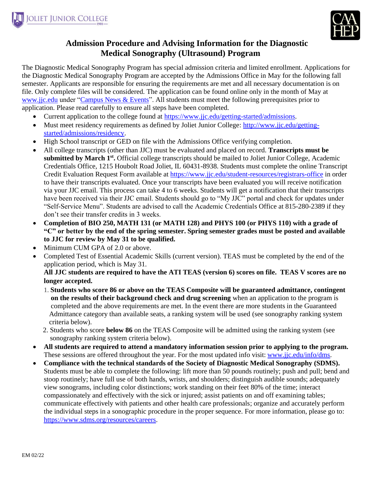



## **Admission Procedure and Advising Information for the Diagnostic Medical Sonography (Ultrasound) Program**

The Diagnostic Medical Sonography Program has special admission criteria and limited enrollment. Applications for the Diagnostic Medical Sonography Program are accepted by the Admissions Office in May for the following fall semester. Applicants are responsible for ensuring the requirements are met and all necessary documentation is on file. Only complete files will be considered. The application can be found online only in the month of May at [www.jjc.edu](http://www.jjc.edu/) under ["Campus News & Events"](http://www.jjc.edu/news-events). All students must meet the following prerequisites prior to application. Please read carefully to ensure all steps have been completed.

- Current application to the college found at [https://www.jjc.edu/getting-started/admissions.](https://www.jjc.edu/getting-started/admissions)
- Must meet residency requirements as defined by Joliet Junior College: [http://www.jjc.edu/getting](http://www.jjc.edu/getting-started/admissions/residency)[started/admissions/residency.](http://www.jjc.edu/getting-started/admissions/residency)
- High School transcript or GED on file with the Admissions Office verifying completion.
- All college transcripts (other than JJC) must be evaluated and placed on record. **Transcripts must be**  submitted by March 1<sup>st</sup>. Official college transcripts should be mailed to Joliet Junior College, Academic Credentials Office, 1215 Houbolt Road Joliet, IL 60431-8938. Students must complete the online Transcript Credit Evaluation Request Form available at<https://www.jjc.edu/student-resources/registrars-office> in order to have their transcripts evaluated. Once your transcripts have been evaluated you will receive notification via your JJC email. This process can take 4 to 6 weeks. Students will get a notification that their transcripts have been received via their JJC email. Students should go to "My JJC" portal and check for updates under "Self-Service Menu". Students are advised to call the Academic Credentials Office at 815-280-2389 if they don't see their transfer credits in 3 weeks.
- **Completion of BIO 250, MATH 131 (or MATH 128) and PHYS 100 (or PHYS 110) with a grade of "C" or better by the end of the spring semester. Spring semester grades must be posted and available to JJC for review by May 31 to be qualified.**
- Minimum CUM GPA of 2.0 or above.
- Completed Test of Essential Academic Skills (current version). TEAS must be completed by the end of the application period, which is May 31.

**All JJC students are required to have the ATI TEAS (version 6) scores on file. TEAS V scores are no longer accepted.** 

- 1. **Students who score 86 or above on the TEAS Composite will be guaranteed admittance, contingent on the results of their background check and drug screening** when an application to the program is completed and the above requirements are met. In the event there are more students in the Guaranteed Admittance category than available seats, a ranking system will be used (see sonography ranking system criteria below).
- 2. Students who score **below 86** on the TEAS Composite will be admitted using the ranking system (see sonography ranking system criteria below).
- **All students are required to attend a mandatory information session prior to applying to the program.** These sessions are offered throughout the year. For the most updated info visit: [www.jjc.edu/info/dms.](http://www.jjc.edu/info/dms)
- **Compliance with the technical standards of the Society of Diagnostic Medical Sonography (SDMS).** Students must be able to complete the following: lift more than 50 pounds routinely; push and pull; bend and stoop routinely; have full use of both hands, wrists, and shoulders; distinguish audible sounds; adequately view sonograms, including color distinctions; work standing on their feet 80% of the time; interact compassionately and effectively with the sick or injured; assist patients on and off examining tables; communicate effectively with patients and other health care professionals; organize and accurately perform the individual steps in a sonographic procedure in the proper sequence. For more information, please go to: [https://www.sdms.org/resources/careers.](https://www.sdms.org/resources/careers)